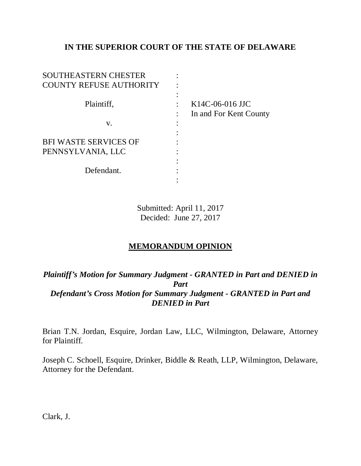# **IN THE SUPERIOR COURT OF THE STATE OF DELAWARE**

| SOUTHEASTERN CHESTER<br><b>COUNTY REFUSE AUTHORITY</b> |                                           |
|--------------------------------------------------------|-------------------------------------------|
| Plaintiff,                                             | K14C-06-016 JJC<br>In and For Kent County |
| V.                                                     |                                           |
| <b>BFI WASTE SERVICES OF</b>                           |                                           |
| PENNSYLVANIA, LLC                                      |                                           |
| Defendant.                                             |                                           |
|                                                        |                                           |

Submitted: April 11, 2017 Decided: June 27, 2017

# **MEMORANDUM OPINION**

# *Plaintiff's Motion for Summary Judgment - GRANTED in Part and DENIED in Part Defendant's Cross Motion for Summary Judgment - GRANTED in Part and DENIED in Part*

Brian T.N. Jordan, Esquire, Jordan Law, LLC, Wilmington, Delaware, Attorney for Plaintiff.

Joseph C. Schoell, Esquire, Drinker, Biddle & Reath, LLP, Wilmington, Delaware, Attorney for the Defendant.

Clark, J.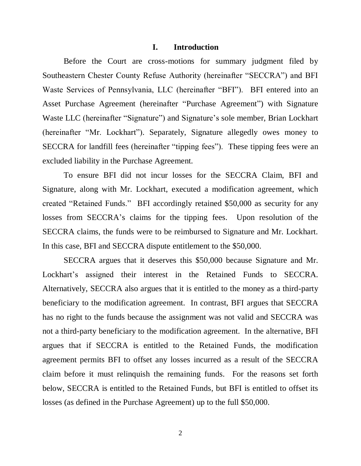#### **I. Introduction**

Before the Court are cross-motions for summary judgment filed by Southeastern Chester County Refuse Authority (hereinafter "SECCRA") and BFI Waste Services of Pennsylvania, LLC (hereinafter "BFI"). BFI entered into an Asset Purchase Agreement (hereinafter "Purchase Agreement") with Signature Waste LLC (hereinafter "Signature") and Signature's sole member, Brian Lockhart (hereinafter "Mr. Lockhart"). Separately, Signature allegedly owes money to SECCRA for landfill fees (hereinafter "tipping fees"). These tipping fees were an excluded liability in the Purchase Agreement.

To ensure BFI did not incur losses for the SECCRA Claim, BFI and Signature, along with Mr. Lockhart, executed a modification agreement, which created "Retained Funds." BFI accordingly retained \$50,000 as security for any losses from SECCRA's claims for the tipping fees. Upon resolution of the SECCRA claims, the funds were to be reimbursed to Signature and Mr. Lockhart. In this case, BFI and SECCRA dispute entitlement to the \$50,000.

SECCRA argues that it deserves this \$50,000 because Signature and Mr. Lockhart's assigned their interest in the Retained Funds to SECCRA. Alternatively, SECCRA also argues that it is entitled to the money as a third-party beneficiary to the modification agreement. In contrast, BFI argues that SECCRA has no right to the funds because the assignment was not valid and SECCRA was not a third-party beneficiary to the modification agreement. In the alternative, BFI argues that if SECCRA is entitled to the Retained Funds, the modification agreement permits BFI to offset any losses incurred as a result of the SECCRA claim before it must relinquish the remaining funds. For the reasons set forth below, SECCRA is entitled to the Retained Funds, but BFI is entitled to offset its losses (as defined in the Purchase Agreement) up to the full \$50,000.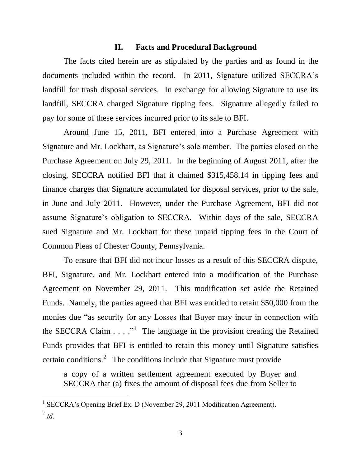#### **II. Facts and Procedural Background**

The facts cited herein are as stipulated by the parties and as found in the documents included within the record. In 2011, Signature utilized SECCRA's landfill for trash disposal services. In exchange for allowing Signature to use its landfill, SECCRA charged Signature tipping fees. Signature allegedly failed to pay for some of these services incurred prior to its sale to BFI.

Around June 15, 2011, BFI entered into a Purchase Agreement with Signature and Mr. Lockhart, as Signature's sole member. The parties closed on the Purchase Agreement on July 29, 2011. In the beginning of August 2011, after the closing, SECCRA notified BFI that it claimed \$315,458.14 in tipping fees and finance charges that Signature accumulated for disposal services, prior to the sale, in June and July 2011. However, under the Purchase Agreement, BFI did not assume Signature's obligation to SECCRA. Within days of the sale, SECCRA sued Signature and Mr. Lockhart for these unpaid tipping fees in the Court of Common Pleas of Chester County, Pennsylvania.

To ensure that BFI did not incur losses as a result of this SECCRA dispute, BFI, Signature, and Mr. Lockhart entered into a modification of the Purchase Agreement on November 29, 2011. This modification set aside the Retained Funds. Namely, the parties agreed that BFI was entitled to retain \$50,000 from the monies due "as security for any Losses that Buyer may incur in connection with the SECCRA Claim  $\ldots$  <sup>1</sup> The language in the provision creating the Retained Funds provides that BFI is entitled to retain this money until Signature satisfies certain conditions.<sup>2</sup> The conditions include that Signature must provide

a copy of a written settlement agreement executed by Buyer and SECCRA that (a) fixes the amount of disposal fees due from Seller to

<sup>&</sup>lt;sup>1</sup> SECCRA's Opening Brief Ex. D (November 29, 2011 Modification Agreement). 2 *Id.*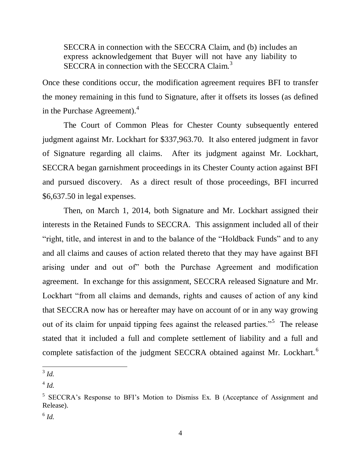SECCRA in connection with the SECCRA Claim, and (b) includes an express acknowledgement that Buyer will not have any liability to SECCRA in connection with the SECCRA Claim.<sup>3</sup>

Once these conditions occur, the modification agreement requires BFI to transfer the money remaining in this fund to Signature, after it offsets its losses (as defined in the Purchase Agreement).<sup>4</sup>

The Court of Common Pleas for Chester County subsequently entered judgment against Mr. Lockhart for \$337,963.70. It also entered judgment in favor of Signature regarding all claims. After its judgment against Mr. Lockhart, SECCRA began garnishment proceedings in its Chester County action against BFI and pursued discovery. As a direct result of those proceedings, BFI incurred \$6,637.50 in legal expenses.

Then, on March 1, 2014, both Signature and Mr. Lockhart assigned their interests in the Retained Funds to SECCRA. This assignment included all of their "right, title, and interest in and to the balance of the "Holdback Funds" and to any and all claims and causes of action related thereto that they may have against BFI arising under and out of" both the Purchase Agreement and modification agreement. In exchange for this assignment, SECCRA released Signature and Mr. Lockhart "from all claims and demands, rights and causes of action of any kind that SECCRA now has or hereafter may have on account of or in any way growing out of its claim for unpaid tipping fees against the released parties."<sup>5</sup> The release stated that it included a full and complete settlement of liability and a full and complete satisfaction of the judgment SECCRA obtained against Mr. Lockhart.<sup>6</sup>

 3 *Id.*

<sup>4</sup> *Id.*

<sup>&</sup>lt;sup>5</sup> SECCRA's Response to BFI's Motion to Dismiss Ex. B (Acceptance of Assignment and Release).

<sup>6</sup> *Id.*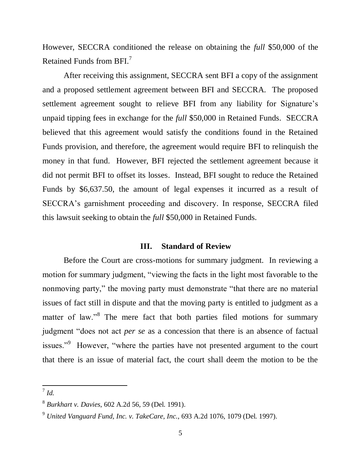However, SECCRA conditioned the release on obtaining the *full* \$50,000 of the Retained Funds from BFI. $^7$ 

After receiving this assignment, SECCRA sent BFI a copy of the assignment and a proposed settlement agreement between BFI and SECCRA. The proposed settlement agreement sought to relieve BFI from any liability for Signature's unpaid tipping fees in exchange for the *full* \$50,000 in Retained Funds. SECCRA believed that this agreement would satisfy the conditions found in the Retained Funds provision, and therefore, the agreement would require BFI to relinquish the money in that fund. However, BFI rejected the settlement agreement because it did not permit BFI to offset its losses. Instead, BFI sought to reduce the Retained Funds by \$6,637.50, the amount of legal expenses it incurred as a result of SECCRA's garnishment proceeding and discovery. In response, SECCRA filed this lawsuit seeking to obtain the *full* \$50,000 in Retained Funds.

#### **III. Standard of Review**

Before the Court are cross-motions for summary judgment. In reviewing a motion for summary judgment, "viewing the facts in the light most favorable to the nonmoving party," the moving party must demonstrate "that there are no material issues of fact still in dispute and that the moving party is entitled to judgment as a matter of law."<sup>8</sup> The mere fact that both parties filed motions for summary judgment "does not act *per se* as a concession that there is an absence of factual issues."<sup>9</sup> However, "where the parties have not presented argument to the court that there is an issue of material fact, the court shall deem the motion to be the

 7 *Id.*

<sup>8</sup> *Burkhart v. Davies*, 602 A.2d 56, 59 (Del. 1991).

<sup>9</sup> *United Vanguard Fund, Inc. v. TakeCare, Inc.*, 693 A.2d 1076, 1079 (Del. 1997).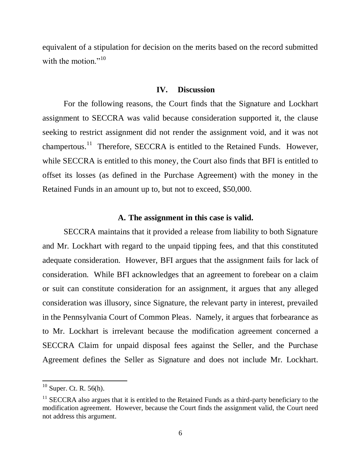equivalent of a stipulation for decision on the merits based on the record submitted with the motion."<sup>10</sup>

#### **IV. Discussion**

For the following reasons, the Court finds that the Signature and Lockhart assignment to SECCRA was valid because consideration supported it, the clause seeking to restrict assignment did not render the assignment void, and it was not champertous.<sup>11</sup> Therefore, SECCRA is entitled to the Retained Funds. However, while SECCRA is entitled to this money, the Court also finds that BFI is entitled to offset its losses (as defined in the Purchase Agreement) with the money in the Retained Funds in an amount up to, but not to exceed, \$50,000.

#### **A. The assignment in this case is valid.**

SECCRA maintains that it provided a release from liability to both Signature and Mr. Lockhart with regard to the unpaid tipping fees, and that this constituted adequate consideration. However, BFI argues that the assignment fails for lack of consideration. While BFI acknowledges that an agreement to forebear on a claim or suit can constitute consideration for an assignment, it argues that any alleged consideration was illusory, since Signature, the relevant party in interest, prevailed in the Pennsylvania Court of Common Pleas. Namely, it argues that forbearance as to Mr. Lockhart is irrelevant because the modification agreement concerned a SECCRA Claim for unpaid disposal fees against the Seller, and the Purchase Agreement defines the Seller as Signature and does not include Mr. Lockhart.

 $10$  Super. Ct. R. 56(h).

 $11$  SECCRA also argues that it is entitled to the Retained Funds as a third-party beneficiary to the modification agreement. However, because the Court finds the assignment valid, the Court need not address this argument.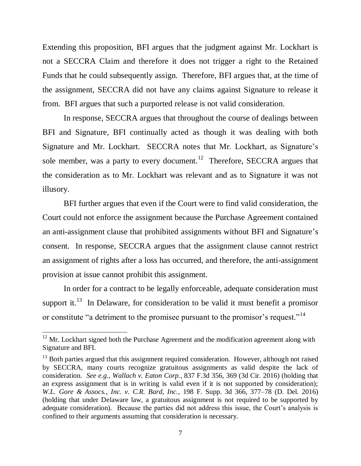Extending this proposition, BFI argues that the judgment against Mr. Lockhart is not a SECCRA Claim and therefore it does not trigger a right to the Retained Funds that he could subsequently assign. Therefore, BFI argues that, at the time of the assignment, SECCRA did not have any claims against Signature to release it from. BFI argues that such a purported release is not valid consideration.

In response, SECCRA argues that throughout the course of dealings between BFI and Signature, BFI continually acted as though it was dealing with both Signature and Mr. Lockhart. SECCRA notes that Mr. Lockhart, as Signature's sole member, was a party to every document.<sup>12</sup> Therefore, SECCRA argues that the consideration as to Mr. Lockhart was relevant and as to Signature it was not illusory.

BFI further argues that even if the Court were to find valid consideration, the Court could not enforce the assignment because the Purchase Agreement contained an anti-assignment clause that prohibited assignments without BFI and Signature's consent. In response, SECCRA argues that the assignment clause cannot restrict an assignment of rights after a loss has occurred, and therefore, the anti-assignment provision at issue cannot prohibit this assignment.

In order for a contract to be legally enforceable, adequate consideration must support it.<sup>13</sup> In Delaware, for consideration to be valid it must benefit a promisor or constitute "a detriment to the promisee pursuant to the promisor's request."<sup>14</sup>

 $12$  Mr. Lockhart signed both the Purchase Agreement and the modification agreement along with Signature and BFI.

<sup>&</sup>lt;sup>13</sup> Both parties argued that this assignment required consideration. However, although not raised by SECCRA, many courts recognize gratuitous assignments as valid despite the lack of consideration. *See e.g.*, *Wallach v. Eaton Corp.*, 837 F.3d 356, 369 (3d Cir. 2016) (holding that an express assignment that is in writing is valid even if it is not supported by consideration); *W.L. Gore & Assocs., Inc. v. C.R. Bard, Inc.*, 198 F. Supp. 3d 366, 377–78 (D. Del. 2016) (holding that under Delaware law, a gratuitous assignment is not required to be supported by adequate consideration). Because the parties did not address this issue, the Court's analysis is confined to their arguments assuming that consideration is necessary.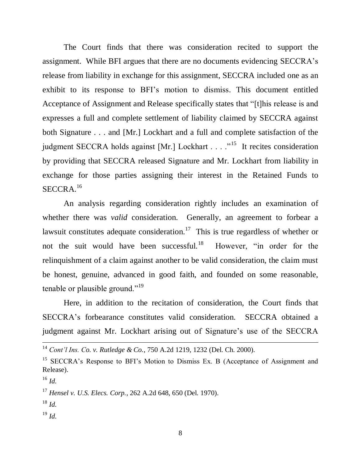The Court finds that there was consideration recited to support the assignment. While BFI argues that there are no documents evidencing SECCRA's release from liability in exchange for this assignment, SECCRA included one as an exhibit to its response to BFI's motion to dismiss. This document entitled Acceptance of Assignment and Release specifically states that "[t]his release is and expresses a full and complete settlement of liability claimed by SECCRA against both Signature . . . and [Mr.] Lockhart and a full and complete satisfaction of the judgment SECCRA holds against [Mr.] Lockhart . . . .  $\cdot$ <sup>15</sup> It recites consideration by providing that SECCRA released Signature and Mr. Lockhart from liability in exchange for those parties assigning their interest in the Retained Funds to SECCRA. 16

An analysis regarding consideration rightly includes an examination of whether there was *valid* consideration. Generally, an agreement to forbear a lawsuit constitutes adequate consideration.<sup>17</sup> This is true regardless of whether or not the suit would have been successful.<sup>18</sup> However, "in order for the relinquishment of a claim against another to be valid consideration, the claim must be honest, genuine, advanced in good faith, and founded on some reasonable, tenable or plausible ground."<sup>19</sup>

Here, in addition to the recitation of consideration, the Court finds that SECCRA's forbearance constitutes valid consideration. SECCRA obtained a judgment against Mr. Lockhart arising out of Signature's use of the SECCRA

 $\overline{a}$ 

<sup>17</sup> *Hensel v. U.S. Elecs. Corp.*, 262 A.2d 648, 650 (Del. 1970).

<sup>19</sup> *Id.*

<sup>14</sup> *Cont'l Ins. Co. v. Rutledge & Co.*, 750 A.2d 1219, 1232 (Del. Ch. 2000).

<sup>&</sup>lt;sup>15</sup> SECCRA's Response to BFI's Motion to Dismiss Ex. B (Acceptance of Assignment and Release).

<sup>16</sup> *Id.*

<sup>18</sup> *Id.*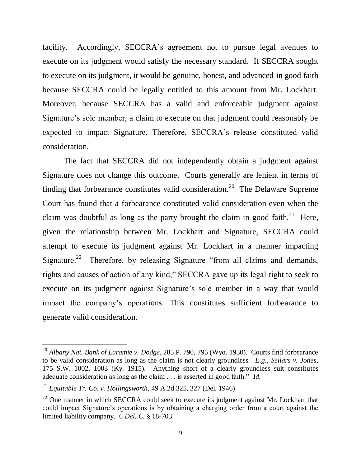facility. Accordingly, SECCRA's agreement not to pursue legal avenues to execute on its judgment would satisfy the necessary standard. If SECCRA sought to execute on its judgment, it would be genuine, honest, and advanced in good faith because SECCRA could be legally entitled to this amount from Mr. Lockhart. Moreover, because SECCRA has a valid and enforceable judgment against Signature's sole member, a claim to execute on that judgment could reasonably be expected to impact Signature. Therefore, SECCRA's release constituted valid consideration.

The fact that SECCRA did not independently obtain a judgment against Signature does not change this outcome. Courts generally are lenient in terms of finding that forbearance constitutes valid consideration.<sup>20</sup> The Delaware Supreme Court has found that a forbearance constituted valid consideration even when the claim was doubtful as long as the party brought the claim in good faith.<sup>21</sup> Here, given the relationship between Mr. Lockhart and Signature, SECCRA could attempt to execute its judgment against Mr. Lockhart in a manner impacting Signature.<sup>22</sup> Therefore, by releasing Signature "from all claims and demands, rights and causes of action of any kind," SECCRA gave up its legal right to seek to execute on its judgment against Signature's sole member in a way that would impact the company's operations. This constitutes sufficient forbearance to generate valid consideration.

<sup>20</sup> *Albany Nat. Bank of Laramie v. Dodge*, 285 P. 790, 795 (Wyo. 1930). Courts find forbearance to be valid consideration as long as the claim is not clearly groundless. *E.g.*, *Sellars v. Jones*, 175 S.W. 1002, 1003 (Ky. 1915). Anything short of a clearly groundless suit constitutes adequate consideration as long as the claim . . . is asserted in good faith." *Id.* 

<sup>21</sup> *Equitable Tr. Co. v. Hollingsworth*, 49 A.2d 325, 327 (Del. 1946).

 $22$  One manner in which SECCRA could seek to execute its judgment against Mr. Lockhart that could impact Signature's operations is by obtaining a charging order from a court against the limited liability company. 6 *Del. C.* § 18-703.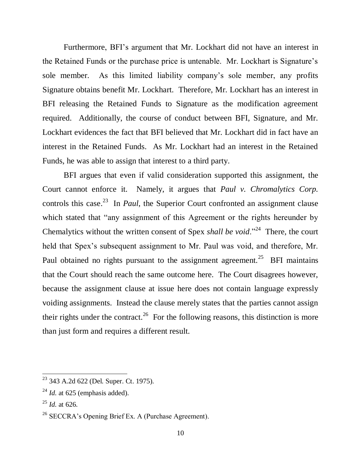Furthermore, BFI's argument that Mr. Lockhart did not have an interest in the Retained Funds or the purchase price is untenable. Mr. Lockhart is Signature's sole member. As this limited liability company's sole member, any profits Signature obtains benefit Mr. Lockhart. Therefore, Mr. Lockhart has an interest in BFI releasing the Retained Funds to Signature as the modification agreement required. Additionally, the course of conduct between BFI, Signature, and Mr. Lockhart evidences the fact that BFI believed that Mr. Lockhart did in fact have an interest in the Retained Funds. As Mr. Lockhart had an interest in the Retained Funds, he was able to assign that interest to a third party.

BFI argues that even if valid consideration supported this assignment, the Court cannot enforce it. Namely, it argues that *Paul v. Chromalytics Corp.* controls this case. 23 In *Paul*, the Superior Court confronted an assignment clause which stated that "any assignment of this Agreement or the rights hereunder by Chemalytics without the written consent of Spex *shall be void*."<sup>24</sup> There, the court held that Spex's subsequent assignment to Mr. Paul was void, and therefore, Mr. Paul obtained no rights pursuant to the assignment agreement.<sup>25</sup> BFI maintains that the Court should reach the same outcome here. The Court disagrees however, because the assignment clause at issue here does not contain language expressly voiding assignments. Instead the clause merely states that the parties cannot assign their rights under the contract.<sup>26</sup> For the following reasons, this distinction is more than just form and requires a different result.

<sup>&</sup>lt;sup>23</sup> 343 A.2d 622 (Del. Super. Ct. 1975).

 $^{24}$  *Id.* at 625 (emphasis added).

<sup>25</sup> *Id.* at 626.

 $26$  SECCRA's Opening Brief Ex. A (Purchase Agreement).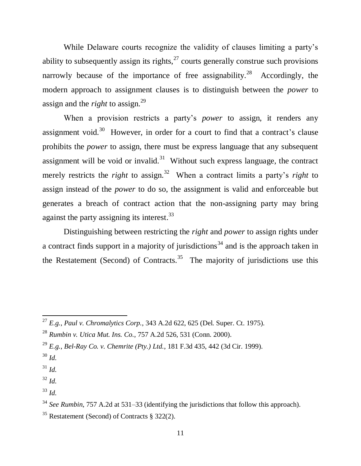While Delaware courts recognize the validity of clauses limiting a party's ability to subsequently assign its rights,  $27$  courts generally construe such provisions narrowly because of the importance of free assignability.<sup>28</sup> Accordingly, the modern approach to assignment clauses is to distinguish between the *power* to assign and the *right* to assign.<sup>29</sup>

When a provision restricts a party's *power* to assign, it renders any assignment void.<sup>30</sup> However, in order for a court to find that a contract's clause prohibits the *power* to assign, there must be express language that any subsequent assignment will be void or invalid.<sup>31</sup> Without such express language, the contract merely restricts the *right* to assign.<sup>32</sup> When a contract limits a party's *right* to assign instead of the *power* to do so, the assignment is valid and enforceable but generates a breach of contract action that the non-assigning party may bring against the party assigning its interest.<sup>33</sup>

Distinguishing between restricting the *right* and *power* to assign rights under a contract finds support in a majority of jurisdictions<sup>34</sup> and is the approach taken in the Restatement (Second) of Contracts.<sup>35</sup> The majority of jurisdictions use this

 $\overline{\phantom{a}}$ 

- $31$  *Id.*
- <sup>32</sup> *Id.*
- <sup>33</sup> *Id.*

<sup>27</sup> *E.g.*, *Paul v. Chromalytics Corp.*, 343 A.2d 622, 625 (Del. Super. Ct. 1975).

<sup>28</sup> *Rumbin v. Utica Mut. Ins. Co.*, 757 A.2d 526, 531 (Conn. 2000).

<sup>29</sup> *E.g.*, *Bel-Ray Co. v. Chemrite (Pty.) Ltd.*, 181 F.3d 435, 442 (3d Cir. 1999).

<sup>30</sup> *Id.*

<sup>&</sup>lt;sup>34</sup> *See Rumbin*, 757 A.2d at 531–33 (identifying the jurisdictions that follow this approach).

<sup>35</sup> Restatement (Second) of Contracts § 322(2).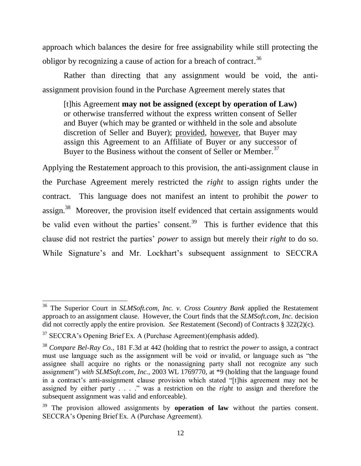approach which balances the desire for free assignability while still protecting the obligor by recognizing a cause of action for a breach of contract.<sup>36</sup>

Rather than directing that any assignment would be void, the antiassignment provision found in the Purchase Agreement merely states that

[t]his Agreement **may not be assigned (except by operation of Law)** or otherwise transferred without the express written consent of Seller and Buyer (which may be granted or withheld in the sole and absolute discretion of Seller and Buyer); provided, however, that Buyer may assign this Agreement to an Affiliate of Buyer or any successor of Buyer to the Business without the consent of Seller or Member.<sup>37</sup>

Applying the Restatement approach to this provision, the anti-assignment clause in the Purchase Agreement merely restricted the *right* to assign rights under the contract. This language does not manifest an intent to prohibit the *power* to assign.<sup>38</sup> Moreover, the provision itself evidenced that certain assignments would be valid even without the parties' consent.<sup>39</sup> This is further evidence that this clause did not restrict the parties' *power* to assign but merely their *right* to do so. While Signature's and Mr. Lockhart's subsequent assignment to SECCRA

<sup>36</sup> The Superior Court in *SLMSoft.com, Inc. v. Cross Country Bank* applied the Restatement approach to an assignment clause. However, the Court finds that the *SLMSoft.com, Inc.* decision did not correctly apply the entire provision. *See* Restatement (Second) of Contracts § 322(2)(c).

<sup>&</sup>lt;sup>37</sup> SECCRA's Opening Brief Ex. A (Purchase Agreement)(emphasis added).

<sup>38</sup> *Compare Bel-Ray Co.*, 181 F.3d at 442 (holding that to restrict the *power* to assign, a contract must use language such as the assignment will be void or invalid, or language such as "the assignee shall acquire no rights or the nonassigning party shall not recognize any such assignment") *with SLMSoft.com, Inc.*, 2003 WL 1769770, at \*9 (holding that the language found in a contract's anti-assignment clause provision which stated "[t]his agreement may not be assigned by either party . . . ." was a restriction on the *right* to assign and therefore the subsequent assignment was valid and enforceable).

<sup>&</sup>lt;sup>39</sup> The provision allowed assignments by **operation of law** without the parties consent. SECCRA's Opening Brief Ex. A (Purchase Agreement).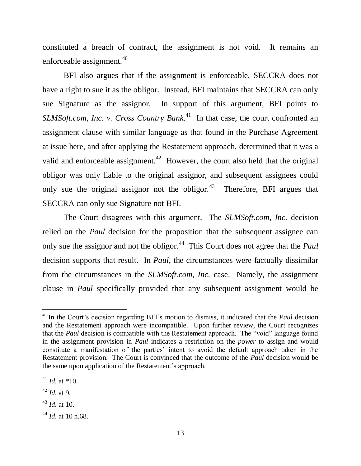constituted a breach of contract, the assignment is not void. It remains an enforceable assignment.<sup>40</sup>

BFI also argues that if the assignment is enforceable, SECCRA does not have a right to sue it as the obligor. Instead, BFI maintains that SECCRA can only sue Signature as the assignor. In support of this argument, BFI points to SLMSoft.com, Inc. v. Cross Country Bank.<sup>41</sup> In that case, the court confronted an assignment clause with similar language as that found in the Purchase Agreement at issue here, and after applying the Restatement approach, determined that it was a valid and enforceable assignment.<sup>42</sup> However, the court also held that the original obligor was only liable to the original assignor, and subsequent assignees could only sue the original assignor not the obligor.<sup>43</sup> Therefore, BFI argues that SECCRA can only sue Signature not BFI.

The Court disagrees with this argument. The *SLMSoft.com, Inc.* decision relied on the *Paul* decision for the proposition that the subsequent assignee can only sue the assignor and not the obligor.<sup>44</sup> This Court does not agree that the *Paul* decision supports that result. In *Paul*, the circumstances were factually dissimilar from the circumstances in the *SLMSoft.com, Inc.* case. Namely, the assignment clause in *Paul* specifically provided that any subsequent assignment would be

 $^{41}$  *Id.* at \*10.

 $\overline{\phantom{a}}$ 

<sup>40</sup> In the Court's decision regarding BFI's motion to dismiss, it indicated that the *Paul* decision and the Restatement approach were incompatible. Upon further review, the Court recognizes that the *Paul* decision is compatible with the Restatement approach. The "void" language found in the assignment provision in *Paul* indicates a restriction on the *power* to assign and would constitute a manifestation of the parties' intent to avoid the default approach taken in the Restatement provision. The Court is convinced that the outcome of the *Paul* decision would be the same upon application of the Restatement's approach.

<sup>42</sup> *Id.* at 9.

 $^{43}$  *Id.* at 10.

<sup>44</sup> *Id.* at 10 n.68.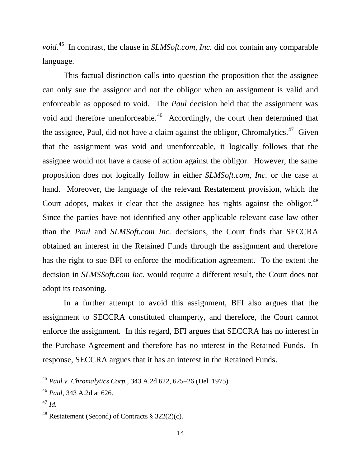*void*.<sup>45</sup> In contrast, the clause in *SLMSoft.com, Inc.* did not contain any comparable language.

This factual distinction calls into question the proposition that the assignee can only sue the assignor and not the obligor when an assignment is valid and enforceable as opposed to void. The *Paul* decision held that the assignment was void and therefore unenforceable.<sup>46</sup> Accordingly, the court then determined that the assignee, Paul, did not have a claim against the obligor, Chromalytics.<sup>47</sup> Given that the assignment was void and unenforceable, it logically follows that the assignee would not have a cause of action against the obligor. However, the same proposition does not logically follow in either *SLMSoft.com, Inc.* or the case at hand. Moreover, the language of the relevant Restatement provision, which the Court adopts, makes it clear that the assignee has rights against the obligor.  $48$ Since the parties have not identified any other applicable relevant case law other than the *Paul* and *SLMSoft.com Inc.* decisions, the Court finds that SECCRA obtained an interest in the Retained Funds through the assignment and therefore has the right to sue BFI to enforce the modification agreement. To the extent the decision in *SLMSSoft.com Inc.* would require a different result, the Court does not adopt its reasoning.

In a further attempt to avoid this assignment, BFI also argues that the assignment to SECCRA constituted champerty, and therefore, the Court cannot enforce the assignment. In this regard, BFI argues that SECCRA has no interest in the Purchase Agreement and therefore has no interest in the Retained Funds. In response, SECCRA argues that it has an interest in the Retained Funds.

<sup>45</sup> *Paul v. Chromalytics Corp.*, 343 A.2d 622, 625–26 (Del. 1975).

<sup>46</sup> *Paul*, 343 A.2d at 626.

<sup>47</sup> *Id.*

<sup>&</sup>lt;sup>48</sup> Restatement (Second) of Contracts § 322(2)(c).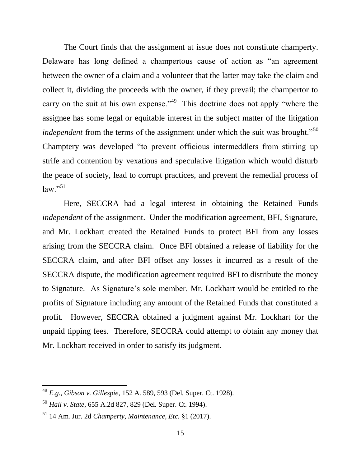The Court finds that the assignment at issue does not constitute champerty. Delaware has long defined a champertous cause of action as "an agreement between the owner of a claim and a volunteer that the latter may take the claim and collect it, dividing the proceeds with the owner, if they prevail; the champertor to carry on the suit at his own expense."<sup>49</sup> This doctrine does not apply "where the assignee has some legal or equitable interest in the subject matter of the litigation *independent* from the terms of the assignment under which the suit was brought."<sup>50</sup> Champtery was developed "to prevent officious intermeddlers from stirring up strife and contention by vexatious and speculative litigation which would disturb the peace of society, lead to corrupt practices, and prevent the remedial process of  $law.^{51}$ 

Here, SECCRA had a legal interest in obtaining the Retained Funds *independent* of the assignment. Under the modification agreement, BFI, Signature, and Mr. Lockhart created the Retained Funds to protect BFI from any losses arising from the SECCRA claim. Once BFI obtained a release of liability for the SECCRA claim, and after BFI offset any losses it incurred as a result of the SECCRA dispute, the modification agreement required BFI to distribute the money to Signature. As Signature's sole member, Mr. Lockhart would be entitled to the profits of Signature including any amount of the Retained Funds that constituted a profit. However, SECCRA obtained a judgment against Mr. Lockhart for the unpaid tipping fees. Therefore, SECCRA could attempt to obtain any money that Mr. Lockhart received in order to satisfy its judgment.

<sup>49</sup> *E.g.*, *Gibson v. Gillespie*, 152 A. 589, 593 (Del. Super. Ct. 1928).

<sup>50</sup> *Hall v. State*, 655 A.2d 827, 829 (Del. Super. Ct. 1994).

<sup>51</sup> 14 Am. Jur. 2d *Champerty, Maintenance, Etc.* §1 (2017).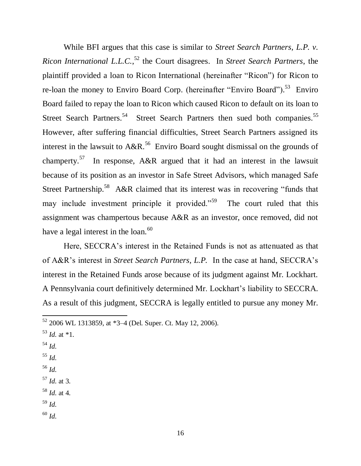While BFI argues that this case is similar to *Street Search Partners, L.P. v. Ricon International L.L.C.*, <sup>52</sup> the Court disagrees. In *Street Search Partners*, the plaintiff provided a loan to Ricon International (hereinafter "Ricon") for Ricon to re-loan the money to Enviro Board Corp. (hereinafter "Enviro Board").<sup>53</sup> Enviro Board failed to repay the loan to Ricon which caused Ricon to default on its loan to Street Search Partners.<sup>54</sup> Street Search Partners then sued both companies.<sup>55</sup> However, after suffering financial difficulties, Street Search Partners assigned its interest in the lawsuit to  $A\&R.^{56}$  Enviro Board sought dismissal on the grounds of champerty.<sup>57</sup> In response, A&R argued that it had an interest in the lawsuit because of its position as an investor in Safe Street Advisors, which managed Safe Street Partnership.<sup>58</sup> A&R claimed that its interest was in recovering "funds that may include investment principle it provided."<sup>59</sup> The court ruled that this assignment was champertous because A&R as an investor, once removed, did not have a legal interest in the loan. $60$ 

Here, SECCRA's interest in the Retained Funds is not as attenuated as that of A&R's interest in *Street Search Partners, L.P.* In the case at hand, SECCRA's interest in the Retained Funds arose because of its judgment against Mr. Lockhart. A Pennsylvania court definitively determined Mr. Lockhart's liability to SECCRA. As a result of this judgment, SECCRA is legally entitled to pursue any money Mr.

- $^{53}$  *Id.* at  $*1$ .
- <sup>54</sup> *Id.*

 $\overline{\phantom{a}}$ 

- <sup>55</sup> *Id.*
- <sup>56</sup> *Id.*
- <sup>57</sup> *Id.* at 3.
- <sup>58</sup> *Id.* at 4.
- <sup>59</sup> *Id.*
- <sup>60</sup> *Id.*

 $52$  2006 WL 1313859, at  $*3-4$  (Del. Super. Ct. May 12, 2006).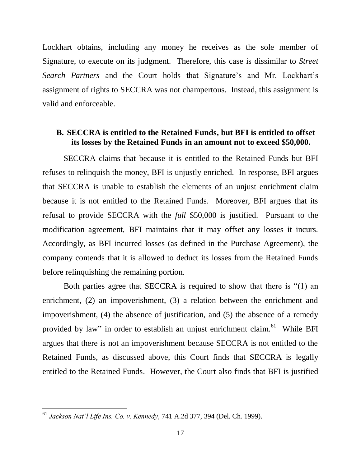Lockhart obtains, including any money he receives as the sole member of Signature, to execute on its judgment. Therefore, this case is dissimilar to *Street Search Partners* and the Court holds that Signature's and Mr. Lockhart's assignment of rights to SECCRA was not champertous. Instead, this assignment is valid and enforceable.

### **B. SECCRA is entitled to the Retained Funds, but BFI is entitled to offset its losses by the Retained Funds in an amount not to exceed \$50,000.**

SECCRA claims that because it is entitled to the Retained Funds but BFI refuses to relinquish the money, BFI is unjustly enriched. In response, BFI argues that SECCRA is unable to establish the elements of an unjust enrichment claim because it is not entitled to the Retained Funds. Moreover, BFI argues that its refusal to provide SECCRA with the *full* \$50,000 is justified. Pursuant to the modification agreement, BFI maintains that it may offset any losses it incurs. Accordingly, as BFI incurred losses (as defined in the Purchase Agreement), the company contends that it is allowed to deduct its losses from the Retained Funds before relinquishing the remaining portion.

Both parties agree that SECCRA is required to show that there is "(1) an enrichment, (2) an impoverishment, (3) a relation between the enrichment and impoverishment, (4) the absence of justification, and (5) the absence of a remedy provided by law" in order to establish an unjust enrichment claim.  $61$  While BFI argues that there is not an impoverishment because SECCRA is not entitled to the Retained Funds, as discussed above, this Court finds that SECCRA is legally entitled to the Retained Funds. However, the Court also finds that BFI is justified

<sup>61</sup> *Jackson Nat'l Life Ins. Co. v. Kennedy*, 741 A.2d 377, 394 (Del. Ch. 1999).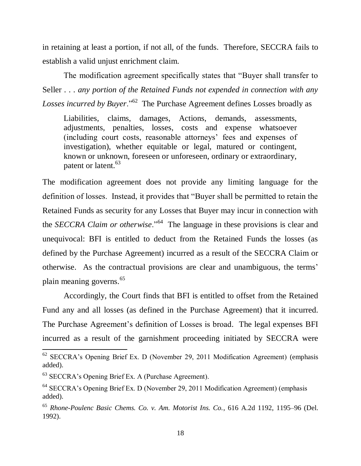in retaining at least a portion, if not all, of the funds. Therefore, SECCRA fails to establish a valid unjust enrichment claim.

The modification agreement specifically states that "Buyer shall transfer to Seller . . . *any portion of the Retained Funds not expended in connection with any*  Losses incurred by Buyer."<sup>62</sup> The Purchase Agreement defines Losses broadly as

Liabilities, claims, damages, Actions, demands, assessments, adjustments, penalties, losses, costs and expense whatsoever (including court costs, reasonable attorneys' fees and expenses of investigation), whether equitable or legal, matured or contingent, known or unknown, foreseen or unforeseen, ordinary or extraordinary, patent or latent.<sup>63</sup>

The modification agreement does not provide any limiting language for the definition of losses. Instead, it provides that "Buyer shall be permitted to retain the Retained Funds as security for any Losses that Buyer may incur in connection with the *SECCRA Claim or otherwise*."<sup>64</sup> The language in these provisions is clear and unequivocal: BFI is entitled to deduct from the Retained Funds the losses (as defined by the Purchase Agreement) incurred as a result of the SECCRA Claim or otherwise. As the contractual provisions are clear and unambiguous, the terms' plain meaning governs.<sup>65</sup>

Accordingly, the Court finds that BFI is entitled to offset from the Retained Fund any and all losses (as defined in the Purchase Agreement) that it incurred. The Purchase Agreement's definition of Losses is broad. The legal expenses BFI incurred as a result of the garnishment proceeding initiated by SECCRA were

 $62$  SECCRA's Opening Brief Ex. D (November 29, 2011 Modification Agreement) (emphasis added).

<sup>63</sup> SECCRA's Opening Brief Ex. A (Purchase Agreement).

<sup>64</sup> SECCRA's Opening Brief Ex. D (November 29, 2011 Modification Agreement) (emphasis added).

<sup>65</sup> *Rhone-Poulenc Basic Chems. Co. v. Am. Motorist Ins. Co.*, 616 A.2d 1192, 1195–96 (Del. 1992).